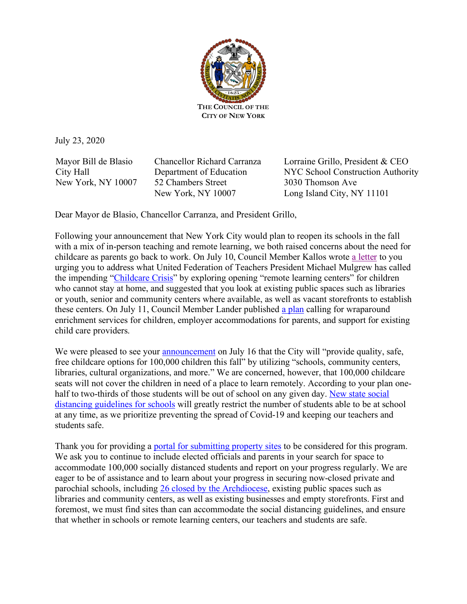

July 23, 2020

Mayor Bill de Blasio City Hall New York, NY 10007 Chancellor Richard Carranza Department of Education 52 Chambers Street New York, NY 10007

Lorraine Grillo, President & CEO NYC School Construction Authority 3030 Thomson Ave Long Island City, NY 11101

Dear Mayor de Blasio, Chancellor Carranza, and President Grillo,

Following your announcement that New York City would plan to reopen its schools in the fall with a mix of in-person teaching and remote learning, we both raised concerns about the need for childcare as parents go back to work. On July 10, Council Member Kallos wrote a letter to you urging you to address what United Federation of Teachers President Michael Mulgrew has called the impending "Childcare Crisis" by exploring opening "remote learning centers" for children who cannot stay at home, and suggested that you look at existing public spaces such as libraries or youth, senior and community centers where available, as well as vacant storefronts to establish these centers. On July 11, Council Member Lander published a plan calling for wraparound enrichment services for children, employer accommodations for parents, and support for existing child care providers.

We were pleased to see your announcement on July 16 that the City will "provide quality, safe, free childcare options for 100,000 children this fall" by utilizing "schools, community centers, libraries, cultural organizations, and more." We are concerned, however, that 100,000 childcare seats will not cover the children in need of a place to learn remotely. According to your plan onehalf to two-thirds of those students will be out of school on any given day. New state social distancing guidelines for schools will greatly restrict the number of students able to be at school at any time, as we prioritize preventing the spread of Covid-19 and keeping our teachers and students safe.

Thank you for providing a portal for submitting property sites to be considered for this program. We ask you to continue to include elected officials and parents in your search for space to accommodate 100,000 socially distanced students and report on your progress regularly. We are eager to be of assistance and to learn about your progress in securing now-closed private and parochial schools, including 26 closed by the Archdiocese, existing public spaces such as libraries and community centers, as well as existing businesses and empty storefronts. First and foremost, we must find sites than can accommodate the social distancing guidelines, and ensure that whether in schools or remote learning centers, our teachers and students are safe.